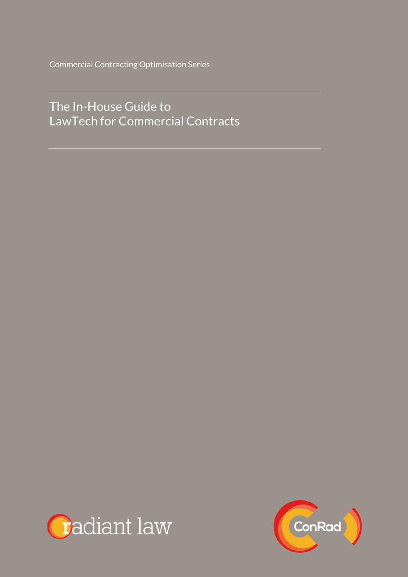Commercial Contracting Optimisation Series

The In-House Guide to LawTech for Commercial Contracts



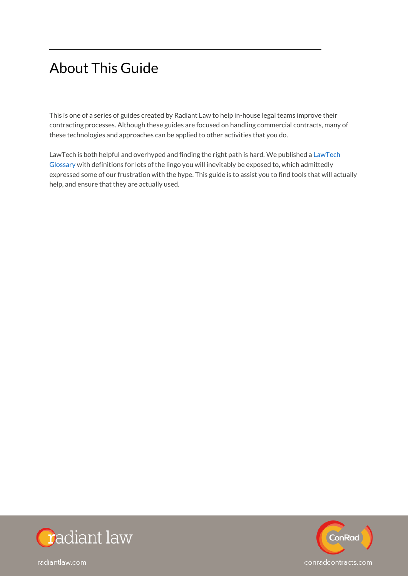## About This Guide

This is one of a series of guides created by Radiant Law to help in-house legal teams improve their contracting processes. Although these guides are focused on handling commercial contracts, many of these technologies and approaches can be applied to other activities that you do.

LawTech is both helpful and overhyped and finding the right path is hard. We published a LawTech [Glossary](https://radiantlaw.com/blog/a-lawtech-glossary?utm_source=pdf&utm_medium=rlw&utm_campaign=ltg) with definitions for lots of the lingo you will inevitably be exposed to, which admittedly expressed some of our frustration with the hype. This guide is to assist you to find tools that will actually help, and ensure that they are actually used.



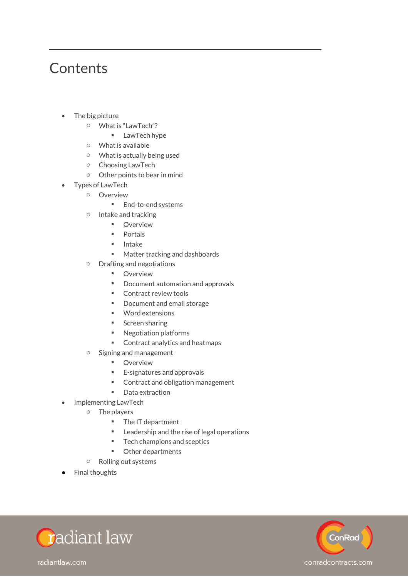## **Contents**

- The big picture
	- o What is "LawTech"?
		- LawTech hype
	- o What is available
	- o What is actually being used
	- o Choosing LawTech
	- o Other points to bear in mind
- Types of LawTech
	- o Overview
		- End-to-end systems
	- o Intake and tracking
		- Overview
		- Portals
		- Intake
		- Matter tracking and dashboards
	- o Drafting and negotiations
		- Overview
		- Document automation and approvals
		- Contract review tools
		- Document and email storage
		- Word extensions
		- Screen sharing
		- Negotiation platforms
		- Contract analytics and heatmaps
	- o Signing and management
		- Overview
		- E-signatures and approvals
		- Contract and obligation management
		- Data extraction
- Implementing LawTech
	- o The players
		- The IT department
		- Leadership and the rise of legal operations
		- Tech champions and sceptics
		- Other departments
	- o Rolling out systems
- Final thoughts



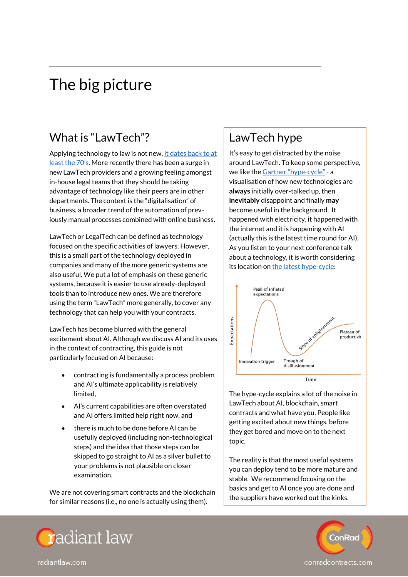## The big picture

### What is "LawTech"?

Applying technology to law is not new, it dates back to at [least the 70's](https://prismlegal.com/back_to_the_future-a-history-of-legal-technology/). More recently there has been a surge in new LawTech providers and a growing feeling amongst in-house legal teams that they should be taking advantage of technology like their peers are in other departments. The context is the "digitalisation" of business, a broader trend of the automation of previously manual processes combined with online business.

LawTech or LegalTech can be defined as technology focused on the specific activities of lawyers. However, this is a small part of the technology deployed in companies and many of the more generic systems are also useful. We put a lot of emphasis on these generic systems, because it is easier to use already-deployed tools than to introduce new ones. We are therefore using the term "LawTech" more generally, to cover any technology that can help you with your contracts.

LawTech has become blurred with the general excitement about AI. Although we discuss AI and its uses in the context of contracting, this guide is not particularly focused on AI because:

- contracting is fundamentally a process problem and AI's ultimate applicability is relatively limited,
- AI's current capabilities are often overstated and AI offers limited help right now, and
- there is much to be done before AI can be usefully deployed (including non-technological steps) and the idea that those steps can be skipped to go straight to AI as a silver bullet to your problems is not plausible on closer examination.

We are not covering smart contracts and the blockchain for similar reasons (i.e., no one is actually using them).

### LawTech hype

It's easy to get distracted by the noise around LawTech. To keep some perspective, we like the [Gartner "hype](https://www.gartner.com/en/research/methodologies/gartner-hype-cycle)-cycle" - a visualisation of how new technologies are **always** initially over-talked up, then **inevitably** disappoint and finally **may** become useful in the background. It happened with electricity, it happened with the internet and it is happening with AI (actually this is the latest time round for AI). As you listen to your next conference talk about a technology, it is worth considering its location on [the latest hype-cycle:](https://www.gartner.com/en/research/methodologies/gartner-hype-cycle)



The hype-cycle explains a lot of the noise in LawTech about AI, blockchain, smart contracts and what have you. People like getting excited about new things, before they get bored and move on to the next topic.

The reality is that the most useful systems you can deploy tend to be more mature and stable. We recommend focusing on the basics and get to AI once you are done and the suppliers have worked out the kinks.



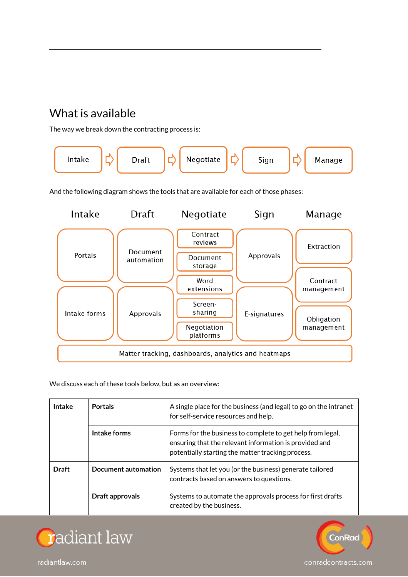### What is available

The way we break down the contracting process is:



And the following diagram shows the tools that are available for each of those phases:



We discuss each of these tools below, but as an overview:

| <b>Intake</b> | <b>Portals</b>      | A single place for the business (and legal) to go on the intranet<br>for self-service resources and help.                                                                 |  |
|---------------|---------------------|---------------------------------------------------------------------------------------------------------------------------------------------------------------------------|--|
|               | Intake forms        | Forms for the business to complete to get help from legal,<br>ensuring that the relevant information is provided and<br>potentially starting the matter tracking process. |  |
| <b>Draft</b>  | Document automation | Systems that let you (or the business) generate tailored<br>contracts based on answers to questions.                                                                      |  |
|               | Draft approvals     | Systems to automate the approvals process for first drafts<br>created by the business.                                                                                    |  |



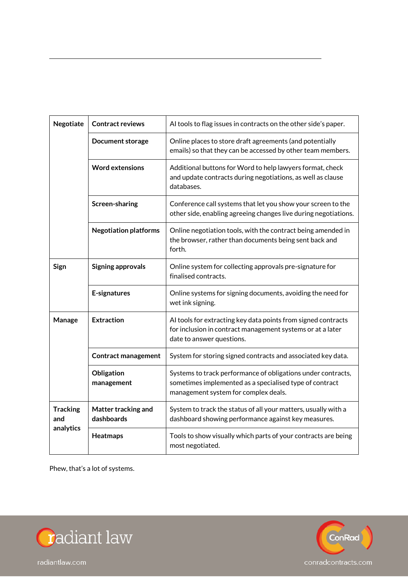| Negotiate                           | <b>Contract reviews</b>           | Al tools to flag issues in contracts on the other side's paper.                                                                                                 |  |  |
|-------------------------------------|-----------------------------------|-----------------------------------------------------------------------------------------------------------------------------------------------------------------|--|--|
|                                     | Document storage                  | Online places to store draft agreements (and potentially<br>emails) so that they can be accessed by other team members.                                         |  |  |
|                                     | <b>Word extensions</b>            | Additional buttons for Word to help lawyers format, check<br>and update contracts during negotiations, as well as clause<br>databases.                          |  |  |
|                                     | Screen-sharing                    | Conference call systems that let you show your screen to the<br>other side, enabling agreeing changes live during negotiations.                                 |  |  |
|                                     | <b>Negotiation platforms</b>      | Online negotiation tools, with the contract being amended in<br>the browser, rather than documents being sent back and<br>forth.                                |  |  |
| Sign                                | <b>Signing approvals</b>          | Online system for collecting approvals pre-signature for<br>finalised contracts.                                                                                |  |  |
|                                     | E-signatures                      | Online systems for signing documents, avoiding the need for<br>wet ink signing.                                                                                 |  |  |
| Manage                              | <b>Extraction</b>                 | Al tools for extracting key data points from signed contracts<br>for inclusion in contract management systems or at a later<br>date to answer questions.        |  |  |
|                                     | <b>Contract management</b>        | System for storing signed contracts and associated key data.                                                                                                    |  |  |
|                                     | Obligation<br>management          | Systems to track performance of obligations under contracts,<br>sometimes implemented as a specialised type of contract<br>management system for complex deals. |  |  |
| <b>Tracking</b><br>and<br>analytics | Matter tracking and<br>dashboards | System to track the status of all your matters, usually with a<br>dashboard showing performance against key measures.                                           |  |  |
|                                     | Heatmaps                          | Tools to show visually which parts of your contracts are being<br>most negotiated.                                                                              |  |  |

Phew, that's a lot of systems.



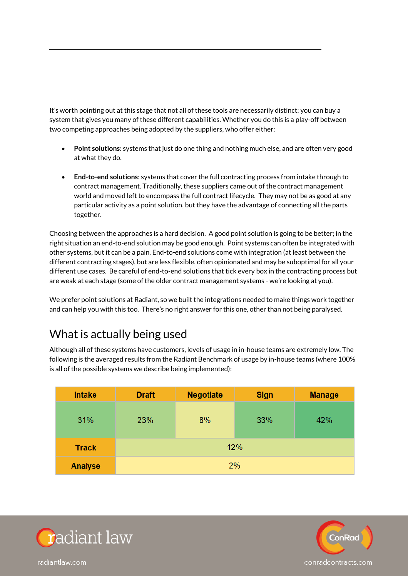It's worth pointing out at this stage that not all of these tools are necessarily distinct: you can buy a system that gives you many of these different capabilities. Whether you do this is a play-off between two competing approaches being adopted by the suppliers, who offer either:

- **Point solutions**: systems that just do one thing and nothing much else, and are often very good at what they do.
- **End-to-end solutions**: systems that cover the full contracting process from intake through to contract management. Traditionally, these suppliers came out of the contract management world and moved left to encompass the full contract lifecycle. They may not be as good at any particular activity as a point solution, but they have the advantage of connecting all the parts together.

Choosing between the approaches is a hard decision. A good point solution is going to be better; in the right situation an end-to-end solution may be good enough. Point systems can often be integrated with other systems, but it can be a pain. End-to-end solutions come with integration (at least between the different contracting stages), but are less flexible, often opinionated and may be suboptimal for all your different use cases. Be careful of end-to-end solutions that tick every box in the contracting process but are weak at each stage (some of the older contract management systems - we're looking at you).

We prefer point solutions at Radiant, so we built the integrations needed to make things work together and can help you with this too. There's no right answer for this one, other than not being paralysed.

### What is actually being used

Although all of these systems have customers, levels of usage in in-house teams are extremely low. The following is the averaged results from the Radiant Benchmark of usage by in-house teams (where 100% is all of the possible systems we describe being implemented):

| <b>Intake</b>  | <b>Draft</b> | <b>Negotiate</b> | <b>Sign</b> | <b>Manage</b> |  |  |
|----------------|--------------|------------------|-------------|---------------|--|--|
| 31%            | 23%          | 8%               | 33%         | 42%           |  |  |
| <b>Track</b>   | 12%          |                  |             |               |  |  |
| <b>Analyse</b> | 2%           |                  |             |               |  |  |



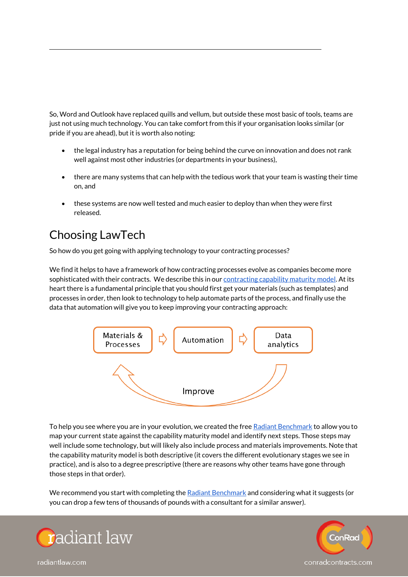So, Word and Outlook have replaced quills and vellum, but outside these most basic of tools, teams are just not using much technology. You can take comfort from this if your organisation looks similar (or pride if you are ahead), but it is worth also noting:

- the legal industry has a reputation for being behind the curve on innovation and does not rank well against most other industries (or departments in your business),
- there are many systems that can help with the tedious work that your team is wasting their time on, and
- these systems are now well tested and much easier to deploy than when they were first released.

### Choosing LawTech

So how do you get going with applying technology to your contracting processes?

We find it helps to have a framework of how contracting processes evolve as companies become more sophisticated with their contracts. We describe this in ou[r contracting capability maturity model.](https://radiantlaw.com/contract-capability-maturity-model) At its heart there is a fundamental principle that you should first get your materials (such as templates) and processes in order, then look to technology to help automate parts of the process, and finally use the data that automation will give you to keep improving your contracting approach:



To help you see where you are in your evolution, we created the fre[e Radiant Benchmark](https://radiantlaw.com/benchmark) to allow you to map your current state against the capability maturity model and identify next steps. Those steps may well include some technology, but will likely also include process and materials improvements. Note that the capability maturity model is both descriptive (it covers the different evolutionary stages we see in practice), and is also to a degree prescriptive (there are reasons why other teams have gone through those steps in that order).

We recommend you start with completing th[e Radiant Benchmark](https://radiantlaw.com/benchmark) and considering what it suggests (or you can drop a few tens of thousands of pounds with a consultant for a similar answer).



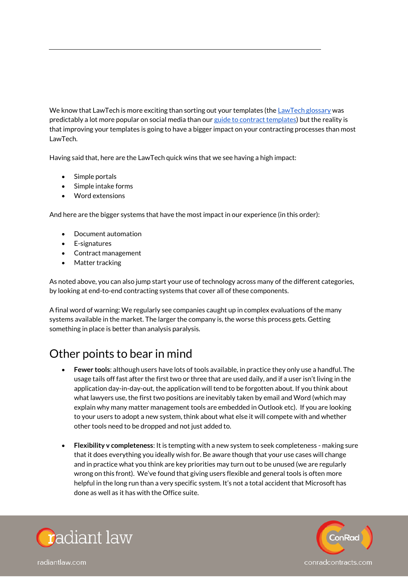We know that LawTech is more exciting than sorting out your templates (th[e LawTech glossary](https://radiantlaw.com/blog/a-lawtech-glossary) was predictably a lot more popular on social media than ou[r guide to contract templates\)](https://radiantlaw.com/guide-to-contract-templates) but the reality is that improving your templates is going to have a bigger impact on your contracting processes than most LawTech.

Having said that, here are the LawTech quick wins that we see having a high impact:

- Simple portals
- Simple intake forms
- Word extensions

And here are the bigger systems that have the most impact in our experience (in this order):

- Document automation
- E-signatures
- Contract management
- Matter tracking

As noted above, you can also jump start your use of technology across many of the different categories, by looking at end-to-end contracting systems that cover all of these components.

A final word of warning: We regularly see companies caught up in complex evaluations of the many systems available in the market. The larger the company is, the worse this process gets. Getting something in place is better than analysis paralysis.

### Other points to bear in mind

- **Fewer tools**: although users have lots of tools available, in practice they only use a handful. The usage tails off fast after the first two or three that are used daily, and if a user isn't living in the application day-in-day-out, the application will tend to be forgotten about. If you think about what lawyers use, the first two positions are inevitably taken by email and Word (which may explain why many matter management tools are embedded in Outlook etc). If you are looking to your users to adopt a new system, think about what else it will compete with and whether other tools need to be dropped and not just added to.
- **Flexibility v completeness**: It is tempting with a new system to seek completeness making sure that it does everything you ideally wish for. Be aware though that your use cases will change and in practice what you think are key priorities may turn out to be unused (we are regularly wrong on this front). We've found that giving users flexible and general tools is often more helpful in the long run than a very specific system. It's not a total accident that Microsoft has done as well as it has with the Office suite.



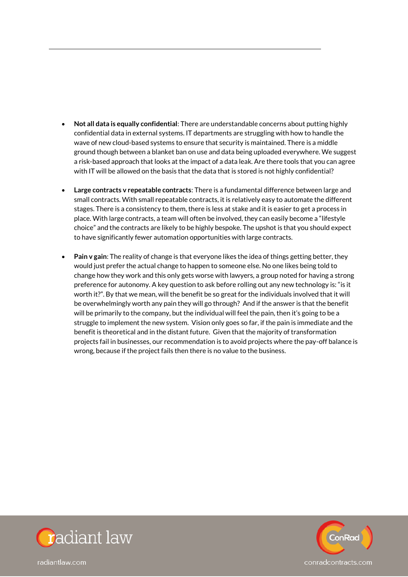- **Not all data is equally confidential**: There are understandable concerns about putting highly confidential data in external systems. IT departments are struggling with how to handle the wave of new cloud-based systems to ensure that security is maintained. There is a middle ground though between a blanket ban on use and data being uploaded everywhere. We suggest a risk-based approach that looks at the impact of a data leak. Are there tools that you can agree with IT will be allowed on the basis that the data that is stored is not highly confidential?
- **Large contracts v repeatable contracts**: There is a fundamental difference between large and small contracts. With small repeatable contracts, it is relatively easy to automate the different stages. There is a consistency to them, there is less at stake and it is easier to get a process in place. With large contracts, a team will often be involved, they can easily become a "lifestyle choice" and the contracts are likely to be highly bespoke. The upshot is that you should expect to have significantly fewer automation opportunities with large contracts.
- **Pain v gain**: The reality of change is that everyone likes the idea of things getting better, they would just prefer the actual change to happen to someone else. No one likes being told to change how they work and this only gets worse with lawyers, a group noted for having a strong preference for autonomy. A key question to ask before rolling out any new technology is: "is it worth it?". By that we mean, will the benefit be so great for the individuals involved that it will be overwhelmingly worth any pain they will go through? And if the answer is that the benefit will be primarily to the company, but the individual will feel the pain, then it's going to be a struggle to implement the new system. Vision only goes so far, if the pain is immediate and the benefit is theoretical and in the distant future. Given that the majority of transformation projects fail in businesses, our recommendation is to avoid projects where the pay-off balance is wrong, because if the project fails then there is no value to the business.



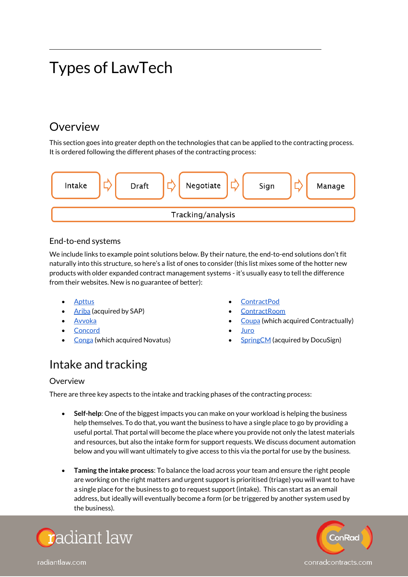## Types of LawTech

### Overview

This section goes into greater depth on the technologies that can be applied to the contracting process. It is ordered following the different phases of the contracting process:



#### End-to-end systems

We include links to example point solutions below. By their nature, the end-to-end solutions don't fit naturally into this structure, so here's a list of ones to consider (this list mixes some of the hotter new products with older expanded contract management systems - it's usually easy to tell the difference from their websites. New is no guarantee of better):

- [Apttus](https://apttus.com/)
- [Ariba](https://www.ariba.com/) (acquired by SAP)
- [Avvoka](https://avvoka.com/)
- **[Concord](https://www.concordnow.com/)**
- [Conga](https://getconga.com/) (which acquired Novatus)
- [ContractPod](http://www.contractpod.com/)
- **[ContractRoom](http://www.contractroom.com/)**
- [Coupa](https://www.coupa.com/products/contract-management/) (which acquired Contractually)
- [Juro](https://juro.com/)
- [SpringCM](https://www.springcm.com/) (acquired by DocuSign)

### Intake and tracking

#### **Overview**

There are three key aspects to the intake and tracking phases of the contracting process:

- **Self-help**: One of the biggest impacts you can make on your workload is helping the business help themselves. To do that, you want the business to have a single place to go by providing a useful portal. That portal will become the place where you provide not only the latest materials and resources, but also the intake form for support requests. We discuss document automation below and you will want ultimately to give access to this via the portal for use by the business.
- **Taming the intake process**: To balance the load across your team and ensure the right people are working on the right matters and urgent support is prioritised (triage) you will want to have a single place for the business to go to request support (intake). This can start as an email address, but ideally will eventually become a form (or be triggered by another system used by the business).



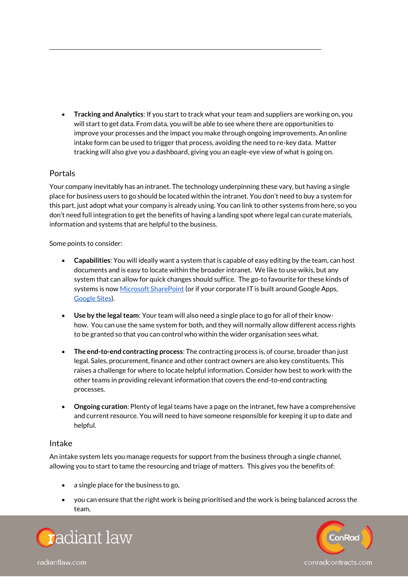• **Tracking and Analytics**: If you start to track what your team and suppliers are working on, you will start to get data. From data, you will be able to see where there are opportunities to improve your processes and the impact you make through ongoing improvements. An online intake form can be used to trigger that process, avoiding the need to re-key data. Matter tracking will also give you a dashboard, giving you an eagle-eye view of what is going on.

#### Portals

Your company inevitably has an intranet. The technology underpinning these vary, but having a single place for business users to go should be located within the intranet. You don't need to buy a system for this part, just adopt what your company is already using. You can link to other systems from here, so you don't need full integration to get the benefits of having a landing spot where legal can curate materials, information and systems that are helpful to the business.

Some points to consider:

- **Capabilities**: You will ideally want a system that is capable of easy editing by the team, can host documents and is easy to locate within the broader intranet. We like to use wikis, but any system that can allow for quick changes should suffice. The go-to favourite for these kinds of systems is now [Microsoft SharePoint](https://products.office.com/en-us/sharepoint/collaboration) (or if your corporate IT is built around Google Apps, [Google Sites\)](https://sites.google.com/).
- **Use by the legal team**: Your team will also need a single place to go for all of their knowhow. You can use the same system for both, and they will normally allow different access rights to be granted so that you can control who within the wider organisation sees what.
- **The end-to-end contracting process**: The contracting process is, of course, broader than just legal. Sales, procurement, finance and other contract owners are also key constituents. This raises a challenge for where to locate helpful information. Consider how best to work with the other teams in providing relevant information that covers the end-to-end contracting processes.
- **Ongoing curation**: Plenty of legal teams have a page on the intranet, few have a comprehensive and current resource. You will need to have someone responsible for keeping it up to date and helpful.

#### Intake

An intake system lets you manage requests for support from the business through a single channel, allowing you to start to tame the resourcing and triage of matters. This gives you the benefits of:

- a single place for the business to go,
- you can ensure that the right work is being prioritised and the work is being balanced across the team,



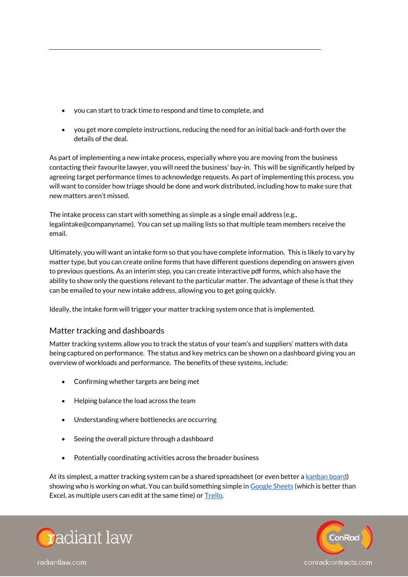- you can start to track time to respond and time to complete, and
- you get more complete instructions, reducing the need for an initial back-and-forth over the details of the deal.

As part of implementing a new intake process, especially where you are moving from the business contacting their favourite lawyer, you will need the business' buy-in. This will be significantly helped by agreeing target performance times to acknowledge requests. As part of implementing this process, you will want to consider how triage should be done and work distributed, including how to make sure that new matters aren't missed.

The intake process can start with something as simple as a single email address (e.g., legalintake@companyname). You can set up mailing lists so that multiple team members receive the email.

Ultimately, you will want an intake form so that you have complete information. This is likely to vary by matter type, but you can create online forms that have different questions depending on answers given to previous questions. As an interim step, you can create interactive pdf forms, which also have the ability to show only the questions relevant to the particular matter. The advantage of these is that they can be emailed to your new intake address, allowing you to get going quickly.

Ideally, the intake form will trigger your matter tracking system once that is implemented.

#### Matter tracking and dashboards

Matter tracking systems allow you to track the status of your team's and suppliers' matters with data being captured on performance. The status and key metrics can be shown on a dashboard giving you an overview of workloads and performance. The benefits of these systems, include:

- Confirming whether targets are being met
- Helping balance the load across the team
- Understanding where bottlenecks are occurring
- Seeing the overall picture through a dashboard
- Potentially coordinating activities across the broader business

At its simplest, a matter tracking system can be a shared spreadsheet (or even better a [kanban board\)](https://en.wikipedia.org/wiki/Kanban_board) showing who is working on what. You can build something simple i[n Google Sheets](https://www.google.co.uk/sheets/about/) (which is better than Excel, as multiple users can edit at the same time) or **Trello**.



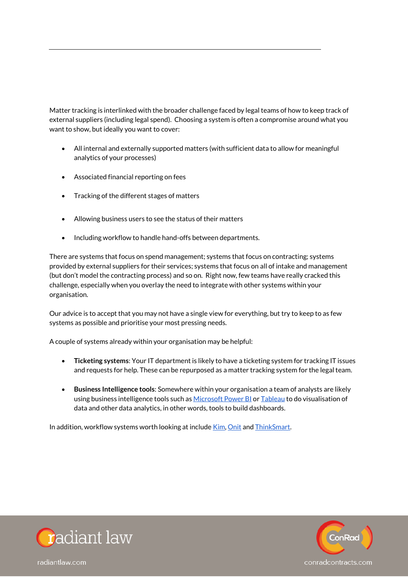Matter tracking is interlinked with the broader challenge faced by legal teams of how to keep track of external suppliers (including legal spend). Choosing a system is often a compromise around what you want to show, but ideally you want to cover:

- All internal and externally supported matters (with sufficient data to allow for meaningful analytics of your processes)
- Associated financial reporting on fees
- Tracking of the different stages of matters
- Allowing business users to see the status of their matters
- Including workflow to handle hand-offs between departments.

There are systems that focus on spend management; systems that focus on contracting; systems provided by external suppliers for their services; systems that focus on all of intake and management (but don't model the contracting process) and so on. Right now, few teams have really cracked this challenge, especially when you overlay the need to integrate with other systems within your organisation.

Our advice is to accept that you may not have a single view for everything, but try to keep to as few systems as possible and prioritise your most pressing needs.

A couple of systems already within your organisation may be helpful:

- **Ticketing systems**: Your IT department is likely to have a ticketing system for tracking IT issues and requests for help. These can be repurposed as a matter tracking system for the legal team.
- **Business Intelligence tools**: Somewhere within your organisation a team of analysts are likely using business intelligence tools such a[s Microsoft Power BI](https://powerbi.microsoft.com/en-us/) o[r Tableau](https://www.tableau.com/) to do visualisation of data and other data analytics, in other words, tools to build dashboards.

In addition, workflow systems worth looking at includ[e Kim,](http://ask.kim/) [Onit](https://www.onit.com/) an[d ThinkSmart.](https://thinksmart.com/)



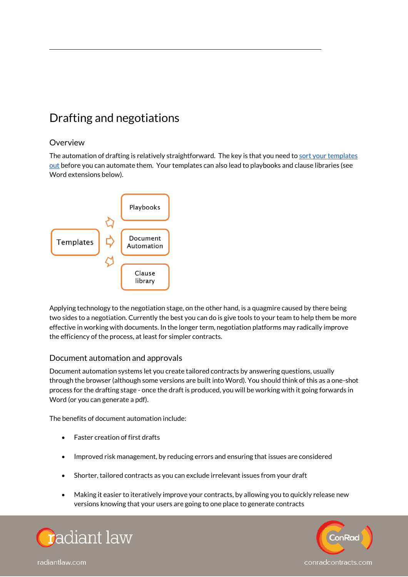### Drafting and negotiations

#### **Overview**

The automation of drafting is relatively straightforward. The key is that you need to sort your templates [out](https://radiantlaw.com/guide-to-contract-templates) before you can automate them. Your templates can also lead to playbooks and clause libraries (see Word extensions below).



Applying technology to the negotiation stage, on the other hand, is a quagmire caused by there being two sides to a negotiation. Currently the best you can do is give tools to your team to help them be more effective in working with documents. In the longer term, negotiation platforms may radically improve the efficiency of the process, at least for simpler contracts.

#### Document automation and approvals

Document automation systems let you create tailored contracts by answering questions, usually through the browser (although some versions are built into Word). You should think of this as a one-shot process for the drafting stage - once the draft is produced, you will be working with it going forwards in Word (or you can generate a pdf).

The benefits of document automation include:

- Faster creation of first drafts
- Improved risk management, by reducing errors and ensuring that issues are considered
- Shorter, tailored contracts as you can exclude irrelevant issues from your draft
- Making it easier to iteratively improve your contracts, by allowing you to quickly release new versions knowing that your users are going to one place to generate contracts



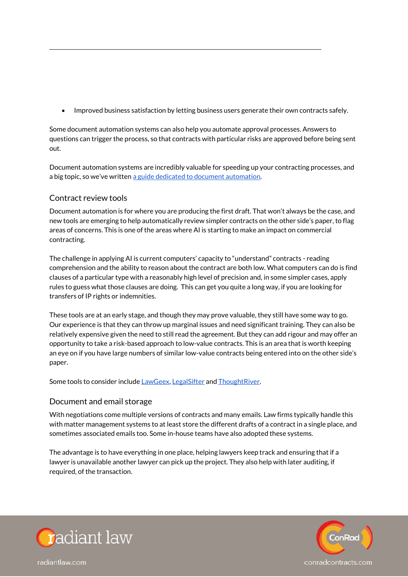• Improved business satisfaction by letting business users generate their own contracts safely.

Some document automation systems can also help you automate approval processes. Answers to questions can trigger the process, so that contracts with particular risks are approved before being sent out.

Document automation systems are incredibly valuable for speeding up your contracting processes, and a big topic, so we've written [a guide dedicated to document automation.](https://radiantlaw.com/guide-to-legal-document-automation)

#### Contract review tools

Document automation is for where you are producing the first draft. That won't always be the case, and new tools are emerging to help automatically review simpler contracts on the other side's paper, to flag areas of concerns. This is one of the areas where AI is starting to make an impact on commercial contracting.

The challenge in applying AI is current computers' capacity to "understand" contracts - reading comprehension and the ability to reason about the contract are both low. What computers can do is find clauses of a particular type with a reasonably high level of precision and, in some simpler cases, apply rules to guess what those clauses are doing. This can get you quite a long way, if you are looking for transfers of IP rights or indemnities.

These tools are at an early stage, and though they may prove valuable, they still have some way to go. Our experience is that they can throw up marginal issues and need significant training. They can also be relatively expensive given the need to still read the agreement. But they can add rigour and may offer an opportunity to take a risk-based approach to low-value contracts. This is an area that is worth keeping an eye on if you have large numbers of similar low-value contracts being entered into on the other side's paper.

Some tools to consider includ[e LawGeex,](https://www.lawgeex.com/) [LegalSifter](https://www.legalsifter.com/) an[d ThoughtRiver.](https://thoughtriver.com/)

#### Document and email storage

With negotiations come multiple versions of contracts and many emails. Law firms typically handle this with matter management systems to at least store the different drafts of a contract in a single place, and sometimes associated emails too. Some in-house teams have also adopted these systems.

The advantage is to have everything in one place, helping lawyers keep track and ensuring that if a lawyer is unavailable another lawyer can pick up the project. They also help with later auditing, if required, of the transaction.



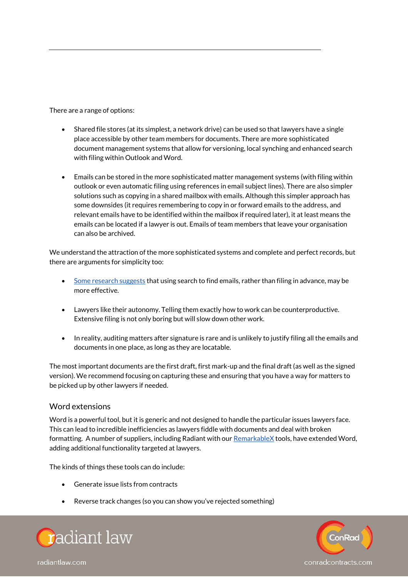There are a range of options:

- Shared file stores (at its simplest, a network drive) can be used so that lawyers have a single place accessible by other team members for documents. There are more sophisticated document management systems that allow for versioning, local synching and enhanced search with filing within Outlook and Word.
- Emails can be stored in the more sophisticated matter management systems (with filing within outlook or even automatic filing using references in email subject lines). There are also simpler solutions such as copying in a shared mailbox with emails. Although this simpler approach has some downsides (it requires remembering to copy in or forward emails to the address, and relevant emails have to be identified within the mailbox if required later), it at least means the emails can be located if a lawyer is out. Emails of team members that leave your organisation can also be archived.

We understand the attraction of the more sophisticated systems and complete and perfect records, but there are arguments for simplicity too:

- [Some research suggests](https://people.ucsc.edu/~swhittak/papers/chi2011_refinding_email_camera_ready.pdf) that using search to find emails, rather than filing in advance, may be more effective.
- Lawyers like their autonomy. Telling them exactly how to work can be counterproductive. Extensive filing is not only boring but will slow down other work.
- In reality, auditing matters after signature is rare and is unlikely to justify filing all the emails and documents in one place, as long as they are locatable.

The most important documents are the first draft, first mark-up and the final draft (as well as the signed version). We recommend focusing on capturing these and ensuring that you have a way for matters to be picked up by other lawyers if needed.

#### Word extensions

Word is a powerful tool, but it is generic and not designed to handle the particular issues lawyers face. This can lead to incredible inefficiencies as lawyers fiddle with documents and deal with broken formatting. A number of suppliers, including Radiant with ou[r RemarkableX](https://radiantlaw.com/lawtech/remarkablex) tools, have extended Word, adding additional functionality targeted at lawyers.

The kinds of things these tools can do include:

- Generate issue lists from contracts
- Reverse track changes (so you can show you've rejected something)



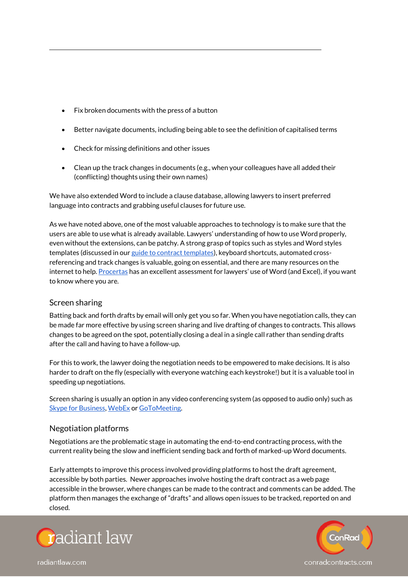- Fix broken documents with the press of a button
- Better navigate documents, including being able to see the definition of capitalised terms
- Check for missing definitions and other issues
- Clean up the track changes in documents (e.g., when your colleagues have all added their (conflicting) thoughts using their own names)

We have also extended Word to include a clause database, allowing lawyers to insert preferred language into contracts and grabbing useful clauses for future use.

As we have noted above, one of the most valuable approaches to technology is to make sure that the users are able to use what is already available. Lawyers' understanding of how to use Word properly, even without the extensions, can be patchy. A strong grasp of topics such as styles and Word styles templates (discussed in our [guide to contract templates\)](https://radiantlaw.com/guide-to-contract-templates), keyboard shortcuts, automated crossreferencing and track changes is valuable, going on essential, and there are many resources on the internet to help[. Procertas](https://www.procertas.com/) has an excellent assessment for lawyers' use of Word (and Excel), if you want to know where you are.

#### Screen sharing

Batting back and forth drafts by email will only get you so far. When you have negotiation calls, they can be made far more effective by using screen sharing and live drafting of changes to contracts. This allows changes to be agreed on the spot, potentially closing a deal in a single call rather than sending drafts after the call and having to have a follow-up.

For this to work, the lawyer doing the negotiation needs to be empowered to make decisions. It is also harder to draft on the fly (especially with everyone watching each keystroke!) but it is a valuable tool in speeding up negotiations.

Screen sharing is usually an option in any video conferencing system (as opposed to audio only) such as [Skype for Business,](https://www.skype.com/en/business/) [WebEx](https://www.webex.co.uk/) o[r GoToMeeting.](https://www.gotomeeting.com/en-gb)

#### Negotiation platforms

Negotiations are the problematic stage in automating the end-to-end contracting process, with the current reality being the slow and inefficient sending back and forth of marked-up Word documents.

Early attempts to improve this process involved providing platforms to host the draft agreement, accessible by both parties. Newer approaches involve hosting the draft contract as a web page accessible in the browser, where changes can be made to the contract and comments can be added. The platform then manages the exchange of "drafts" and allows open issues to be tracked, reported on and closed.



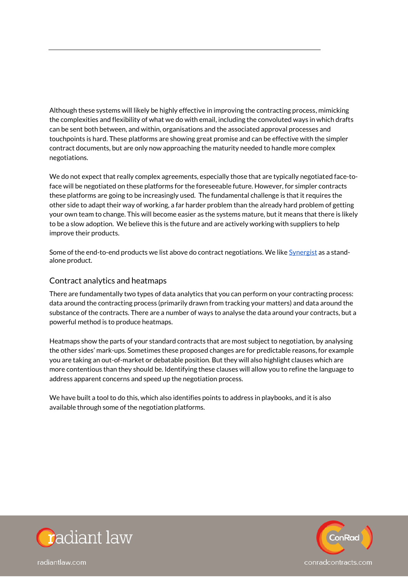Although these systems will likely be highly effective in improving the contracting process, mimicking the complexities and flexibility of what we do with email, including the convoluted ways in which drafts can be sent both between, and within, organisations and the associated approval processes and touchpoints is hard. These platforms are showing great promise and can be effective with the simpler contract documents, but are only now approaching the maturity needed to handle more complex negotiations.

We do not expect that really complex agreements, especially those that are typically negotiated face-toface will be negotiated on these platforms for the foreseeable future. However, for simpler contracts these platforms are going to be increasingly used. The fundamental challenge is that it requires the other side to adapt their way of working, a far harder problem than the already hard problem of getting your own team to change. This will become easier as the systems mature, but it means that there is likely to be a slow adoption. We believe this is the future and are actively working with suppliers to help improve their products.

Some of the end-to-end products we list above do contract negotiations. We lik[e Synergist](https://synergist.io/) as a standalone product.

#### Contract analytics and heatmaps

There are fundamentally two types of data analytics that you can perform on your contracting process: data around the contracting process (primarily drawn from tracking your matters) and data around the substance of the contracts. There are a number of ways to analyse the data around your contracts, but a powerful method is to produce heatmaps.

Heatmaps show the parts of your standard contracts that are most subject to negotiation, by analysing the other sides' mark-ups. Sometimes these proposed changes are for predictable reasons, for example you are taking an out-of-market or debatable position. But they will also highlight clauses which are more contentious than they should be. Identifying these clauses will allow you to refine the language to address apparent concerns and speed up the negotiation process.

We have built a tool to do this, which also identifies points to address in playbooks, and it is also available through some of the negotiation platforms.



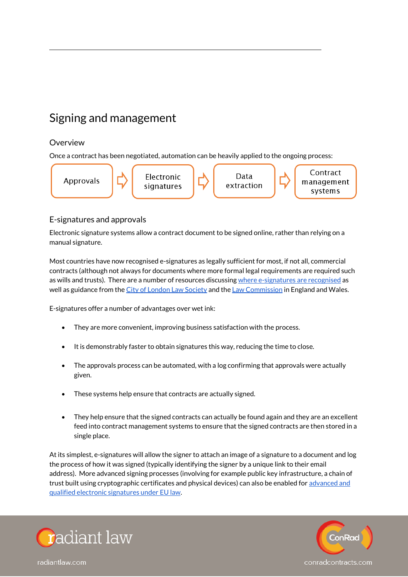### Signing and management

#### **Overview**

Once a contract has been negotiated, automation can be heavily applied to the ongoing process:



#### E-signatures and approvals

Electronic signature systems allow a contract document to be signed online, rather than relying on a manual signature.

Most countries have now recognised e-signatures as legally sufficient for most, if not all, commercial contracts (although not always for documents where more formal legal requirements are required such as wills and trusts). There are a number of resources discussin[g where e-signatures are recognised](https://www.docusign.com/learn/are-electronic-signatures-legal) as well as guidance from th[e City of London Law Society](http://www.citysolicitors.org.uk/attachments/article/121/LSEW%20%20CLLS%20Joint%20Working%20Party%20-%20Note%20on%20the%20Execution%20of%20a%20Document%20Using%20an%20Electronic%20Signature.pdf) and th[e Law Commission](https://www.lawcom.gov.uk/project/electronic-execution-of-documents/) in England and Wales.

E-signatures offer a number of advantages over wet ink:

- They are more convenient, improving business satisfaction with the process.
- It is demonstrably faster to obtain signatures this way, reducing the time to close.
- The approvals process can be automated, with a log confirming that approvals were actually given.
- These systems help ensure that contracts are actually signed.
- They help ensure that the signed contracts can actually be found again and they are an excellent feed into contract management systems to ensure that the signed contracts are then stored in a single place.

At its simplest, e-signatures will allow the signer to attach an image of a signature to a document and log the process of how it was signed (typically identifying the signer by a unique link to their email address). More advanced signing processes (involving for example public key infrastructure, a chain of trust built using cryptographic certificates and physical devices) can also be enabled for advanced and [qualified electronic signatures under](https://ec.europa.eu/cefdigital/wiki/pages/viewpage.action?pageId=46992760) EU law.



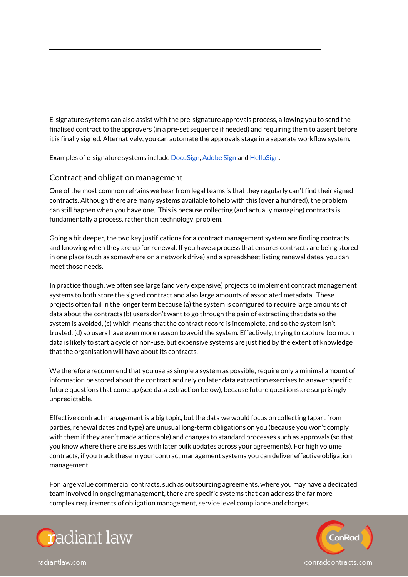E-signature systems can also assist with the pre-signature approvals process, allowing you to send the finalised contract to the approvers (in a pre-set sequence if needed) and requiring them to assent before it is finally signed. Alternatively, you can automate the approvals stage in a separate workflow system.

Examples of e-signature systems include **DocuSign, [Adobe Sign](https://acrobat.adobe.com/uk/en/sign.html) and HelloSign**.

#### Contract and obligation management

One of the most common refrains we hear from legal teams is that they regularly can't find their signed contracts. Although there are many systems available to help with this (over a hundred), the problem can still happen when you have one. This is because collecting (and actually managing) contracts is fundamentally a process, rather than technology, problem.

Going a bit deeper, the two key justifications for a contract management system are finding contracts and knowing when they are up for renewal. If you have a process that ensures contracts are being stored in one place (such as somewhere on a network drive) and a spreadsheet listing renewal dates, you can meet those needs.

In practice though, we often see large (and very expensive) projects to implement contract management systems to both store the signed contract and also large amounts of associated metadata. These projects often fail in the longer term because (a) the system is configured to require large amounts of data about the contracts (b) users don't want to go through the pain of extracting that data so the system is avoided, (c) which means that the contract record is incomplete, and so the system isn't trusted, (d) so users have even more reason to avoid the system. Effectively, trying to capture too much data is likely to start a cycle of non-use, but expensive systems are justified by the extent of knowledge that the organisation will have about its contracts.

We therefore recommend that you use as simple a system as possible, require only a minimal amount of information be stored about the contract and rely on later data extraction exercises to answer specific future questions that come up (see data extraction below), because future questions are surprisingly unpredictable.

Effective contract management is a big topic, but the data we would focus on collecting (apart from parties, renewal dates and type) are unusual long-term obligations on you (because you won't comply with them if they aren't made actionable) and changes to standard processes such as approvals (so that you know where there are issues with later bulk updates across your agreements). For high volume contracts, if you track these in your contract management systems you can deliver effective obligation management.

For large value commercial contracts, such as outsourcing agreements, where you may have a dedicated team involved in ongoing management, there are specific systems that can address the far more complex requirements of obligation management, service level compliance and charges.



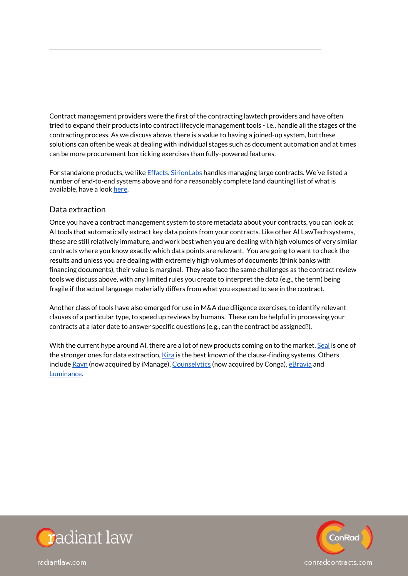Contract management providers were the first of the contracting lawtech providers and have often tried to expand their products into contract lifecycle management tools - i.e., handle all the stages of the contracting process. As we discuss above, there is a value to having a joined-up system, but these solutions can often be weak at dealing with individual stages such as document automation and at times can be more procurement box ticking exercises than fully-powered features.

For standalone products, we like [Effacts.](https://www.effacts.com/en/) [SirionLabs](https://www.sirionlabs.com/) handles managing large contracts. We've listed a number of end-to-end systems above and for a reasonably complete (and daunting) list of what is available, have a loo[k here.](https://www.capterra.com/contract-management-software/)

#### Data extraction

Once you have a contract management system to store metadata about your contracts, you can look at AI tools that automatically extract key data points from your contracts. Like other AI LawTech systems, these are still relatively immature, and work best when you are dealing with high volumes of very similar contracts where you know exactly which data points are relevant. You are going to want to check the results and unless you are dealing with extremely high volumes of documents (think banks with financing documents), their value is marginal. They also face the same challenges as the contract review tools we discuss above, with any limited rules you create to interpret the data (e.g., the term) being fragile if the actual language materially differs from what you expected to see in the contract.

Another class of tools have also emerged for use in M&A due diligence exercises, to identify relevant clauses of a particular type, to speed up reviews by humans. These can be helpful in processing your contracts at a later date to answer specific questions (e.g., can the contract be assigned?).

With the current hype around AI, there are a lot of new products coming on to the market[. Seal](https://www.seal-software.com/) is one of the stronger ones for data extraction, *Kira* is the best known of the clause-finding systems. Others includ[e Ravn](https://imanage.com/product/ravn/) (now acquired by iManage)[, Counselytics](https://getconga.com/lp-counselytics/) (now acquired by Conga)[, eBravia](https://ebrevia.com/) and [Luminance.](https://www.luminance.com/) 



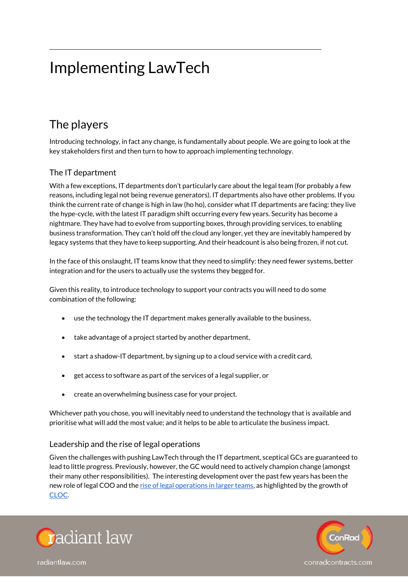## Implementing LawTech

### The players

Introducing technology, in fact any change, is fundamentally about people. We are going to look at the key stakeholders first and then turn to how to approach implementing technology.

#### The IT department

With a few exceptions, IT departments don't particularly care about the legal team (for probably a few reasons, including legal not being revenue generators). IT departments also have other problems. If you think the current rate of change is high in law (ho ho), consider what IT departments are facing: they live the hype-cycle, with the latest IT paradigm shift occurring every few years. Security has become a nightmare. They have had to evolve from supporting boxes, through providing services, to enabling business transformation. They can't hold off the cloud any longer, yet they are inevitably hampered by legacy systems that they have to keep supporting. And their headcount is also being frozen, if not cut.

In the face of this onslaught, IT teams know that they need to simplify: they need fewer systems, better integration and for the users to actually use the systems they begged for.

Given this reality, to introduce technology to support your contracts you will need to do some combination of the following:

- use the technology the IT department makes generally available to the business,
- take advantage of a project started by another department,
- start a shadow-IT department, by signing up to a cloud service with a credit card,
- get access to software as part of the services of a legal supplier, or
- create an overwhelming business case for your project.

Whichever path you chose, you will inevitably need to understand the technology that is available and prioritise what will add the most value; and it helps to be able to articulate the business impact.

#### Leadership and the rise of legal operations

Given the challenges with pushing LawTech through the IT department, sceptical GCs are guaranteed to lead to little progress. Previously, however, the GC would need to actively champion change (amongst their many other responsibilities). The interesting development over the past few years has been the new role of legal COO and th[e rise of legal operations in larger teams,](https://www.legalevolution.org/2017/05/six-types-of-law-firm-clients-005/) as highlighted by the growth of [CLOC.](https://cloc.org/)



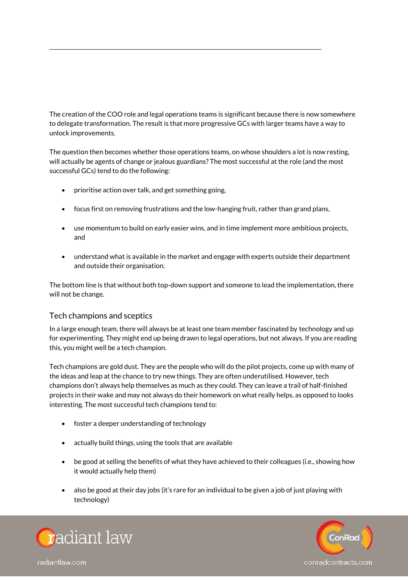The creation of the COO role and legal operations teams is significant because there is now somewhere to delegate transformation. The result is that more progressive GCs with larger teams have a way to unlock improvements.

The question then becomes whether those operations teams, on whose shoulders a lot is now resting, will actually be agents of change or jealous guardians? The most successful at the role (and the most successful GCs) tend to do the following:

- prioritise action over talk, and get something going,
- focus first on removing frustrations and the low-hanging fruit, rather than grand plans,
- use momentum to build on early easier wins, and in time implement more ambitious projects, and
- understand what is available in the market and engage with experts outside their department and outside their organisation.

The bottom line is that without both top-down support and someone to lead the implementation, there will not be change.

#### Tech champions and sceptics

In a large enough team, there will always be at least one team member fascinated by technology and up for experimenting. They might end up being drawn to legal operations, but not always. If you are reading this, you might well be a tech champion.

Tech champions are gold dust. They are the people who will do the pilot projects, come up with many of the ideas and leap at the chance to try new things. They are often underutilised. However, tech champions don't always help themselves as much as they could. They can leave a trail of half-finished projects in their wake and may not always do their homework on what really helps, as opposed to looks interesting. The most successful tech champions tend to:

- foster a deeper understanding of technology
- actually build things, using the tools that are available
- be good at selling the benefits of what they have achieved to their colleagues (i.e., showing how it would actually help them)
- also be good at their day jobs (it's rare for an individual to be given a job of just playing with technology)



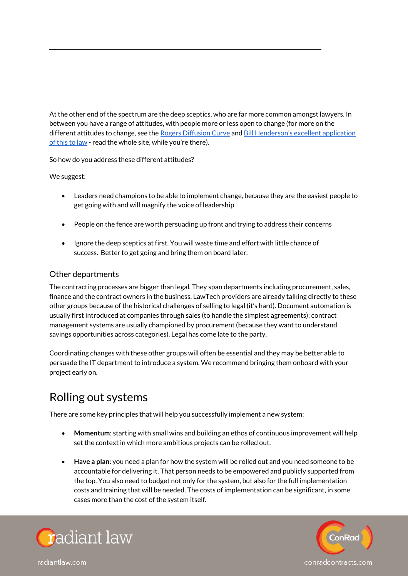At the other end of the spectrum are the deep sceptics, who are far more common amongst lawyers. In between you have a range of attitudes, with people more or less open to change (for more on the different attitudes to change, see the [Rogers Diffusion Curve](https://en.wikipedia.org/wiki/Diffusion_of_innovations) and Bill Henderson's excellent application [of this to law](https://www.legalevolution.org/2017/05/rogers-diffusion-curve-004/) - read the whole site, while you're there).

So how do you address these different attitudes?

We suggest:

- Leaders need champions to be able to implement change, because they are the easiest people to get going with and will magnify the voice of leadership
- People on the fence are worth persuading up front and trying to address their concerns
- Ignore the deep sceptics at first. You will waste time and effort with little chance of success. Better to get going and bring them on board later.

#### Other departments

The contracting processes are bigger than legal. They span departments including procurement, sales, finance and the contract owners in the business. LawTech providers are already talking directly to these other groups because of the historical challenges of selling to legal (it's hard). Document automation is usually first introduced at companies through sales (to handle the simplest agreements); contract management systems are usually championed by procurement (because they want to understand savings opportunities across categories). Legal has come late to the party.

Coordinating changes with these other groups will often be essential and they may be better able to persuade the IT department to introduce a system. We recommend bringing them onboard with your project early on.

### Rolling out systems

There are some key principles that will help you successfully implement a new system:

- **Momentum**: starting with small wins and building an ethos of continuous improvement will help set the context in which more ambitious projects can be rolled out.
- **Have a plan**: you need a plan for how the system will be rolled out and you need someone to be accountable for delivering it. That person needs to be empowered and publicly supported from the top. You also need to budget not only for the system, but also for the full implementation costs and training that will be needed. The costs of implementation can be significant, in some cases more than the cost of the system itself.



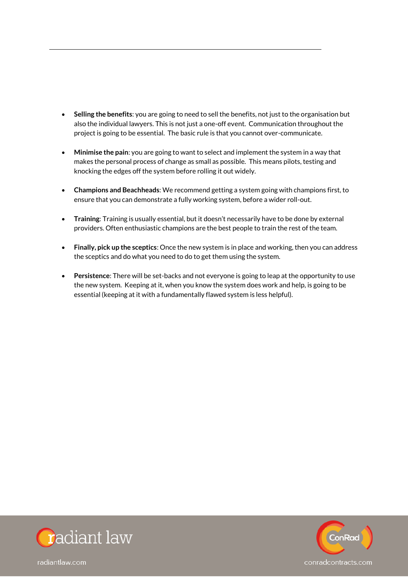- **Selling the benefits**: you are going to need to sell the benefits, not just to the organisation but also the individual lawyers. This is not just a one-off event. Communication throughout the project is going to be essential. The basic rule is that you cannot over-communicate.
- **Minimise the pain**: you are going to want to select and implement the system in a way that makes the personal process of change as small as possible. This means pilots, testing and knocking the edges off the system before rolling it out widely.
- **Champions and Beachheads**: We recommend getting a system going with champions first, to ensure that you can demonstrate a fully working system, before a wider roll-out.
- **Training**: Training is usually essential, but it doesn't necessarily have to be done by external providers. Often enthusiastic champions are the best people to train the rest of the team.
- **Finally, pick up the sceptics**: Once the new system is in place and working, then you can address the sceptics and do what you need to do to get them using the system.
- **Persistence**: There will be set-backs and not everyone is going to leap at the opportunity to use the new system. Keeping at it, when you know the system does work and help, is going to be essential (keeping at it with a fundamentally flawed system is less helpful).



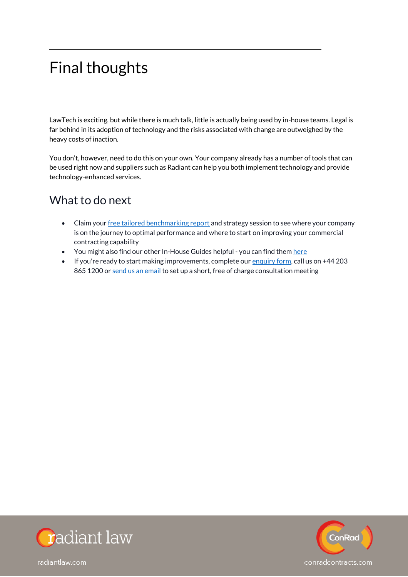# Final thoughts

LawTech is exciting, but while there is much talk, little is actually being used by in-house teams. Legal is far behind in its adoption of technology and the risks associated with change are outweighed by the heavy costs of inaction.

You don't, however, need to do this on your own. Your company already has a number of tools that can be used right now and suppliers such as Radiant can help you both implement technology and provide technology-enhanced services.

### What to do next

- Claim your [free tailored benchmarking report](https://radiantlaw.com/benchmark) and strategy session to see where your company is on the journey to optimal performance and where to start on improving your commercial contracting capability
- You might also find our other In-House Guides helpful you can find the[m here](https://radiantlaw.com/guides)
- If you're ready to start making improvements, complete our [enquiry form,](https://radiantlaw.com/let-s-talk) call us on +44 203 865 1200 or [send us an email](mailto:nicola.lyons@radiantlaw.com?subject=Contract%20Templates%20enquiry) to set up a short, free of charge consultation meeting